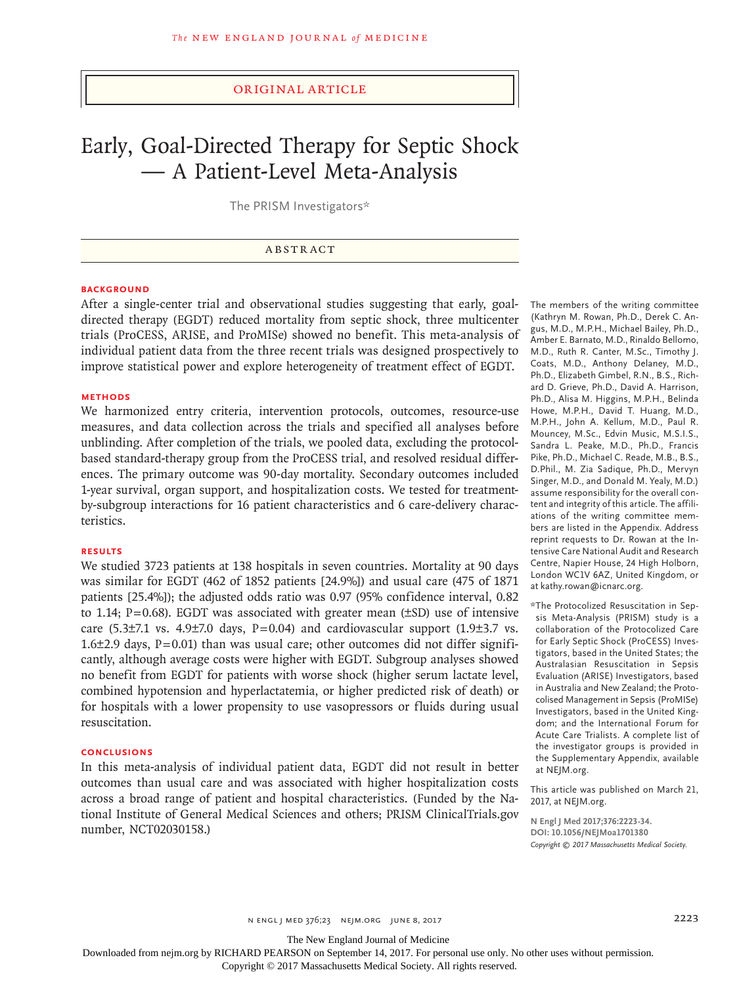### Original Article

# Early, Goal-Directed Therapy for Septic Shock — A Patient-Level Meta-Analysis

The PRISM Investigators\*

### ABSTRACT

# **BACKGROUND**

After a single-center trial and observational studies suggesting that early, goaldirected therapy (EGDT) reduced mortality from septic shock, three multicenter trials (ProCESS, ARISE, and ProMISe) showed no benefit. This meta-analysis of individual patient data from the three recent trials was designed prospectively to improve statistical power and explore heterogeneity of treatment effect of EGDT.

### **METHODS**

We harmonized entry criteria, intervention protocols, outcomes, resource-use measures, and data collection across the trials and specified all analyses before unblinding. After completion of the trials, we pooled data, excluding the protocolbased standard-therapy group from the ProCESS trial, and resolved residual differences. The primary outcome was 90-day mortality. Secondary outcomes included 1-year survival, organ support, and hospitalization costs. We tested for treatmentby-subgroup interactions for 16 patient characteristics and 6 care-delivery characteristics.

### **RESULTS**

We studied 3723 patients at 138 hospitals in seven countries. Mortality at 90 days was similar for EGDT (462 of 1852 patients [24.9%]) and usual care (475 of 1871 patients [25.4%]); the adjusted odds ratio was 0.97 (95% confidence interval, 0.82 to 1.14;  $P=0.68$ ). EGDT was associated with greater mean ( $\pm$ SD) use of intensive care (5.3 $\pm$ 7.1 vs. 4.9 $\pm$ 7.0 days, P=0.04) and cardiovascular support (1.9 $\pm$ 3.7 vs.  $1.6\pm2.9$  days, P=0.01) than was usual care; other outcomes did not differ significantly, although average costs were higher with EGDT. Subgroup analyses showed no benefit from EGDT for patients with worse shock (higher serum lactate level, combined hypotension and hyperlactatemia, or higher predicted risk of death) or for hospitals with a lower propensity to use vasopressors or fluids during usual resuscitation.

### **CONCLUSIONS**

In this meta-analysis of individual patient data, EGDT did not result in better outcomes than usual care and was associated with higher hospitalization costs across a broad range of patient and hospital characteristics. (Funded by the National Institute of General Medical Sciences and others; PRISM ClinicalTrials.gov number, NCT02030158.)

The members of the writing committee (Kathryn M. Rowan, Ph.D., Derek C. Angus, M.D., M.P.H., Michael Bailey, Ph.D., Amber E. Barnato, M.D., Rinaldo Bellomo, M.D., Ruth R. Canter, M.Sc., Timothy J. Coats, M.D., Anthony Delaney, M.D., Ph.D., Elizabeth Gimbel, R.N., B.S., Richard D. Grieve, Ph.D., David A. Harrison, Ph.D., Alisa M. Higgins, M.P.H., Belinda Howe, M.P.H., David T. Huang, M.D., M.P.H., John A. Kellum, M.D., Paul R. Mouncey, M.Sc., Edvin Music, M.S.I.S., Sandra L. Peake, M.D., Ph.D., Francis Pike, Ph.D., Michael C. Reade, M.B., B.S., D.Phil., M. Zia Sadique, Ph.D., Mervyn Singer, M.D., and Donald M. Yealy, M.D.) assume responsibility for the overall content and integrity of this article. The affiliations of the writing committee members are listed in the Appendix. Address reprint requests to Dr. Rowan at the Intensive Care National Audit and Research Centre, Napier House, 24 High Holborn, London WC1V 6AZ, United Kingdom, or at kathy.rowan@icnarc.org.

\*The Protocolized Resuscitation in Sepsis Meta-Analysis (PRISM) study is a collaboration of the Protocolized Care for Early Septic Shock (ProCESS) Investigators, based in the United States; the Australasian Resuscitation in Sepsis Evaluation (ARISE) Investigators, based in Australia and New Zealand; the Protocolised Management in Sepsis (ProMISe) Investigators, based in the United Kingdom; and the International Forum for Acute Care Trialists. A complete list of the investigator groups is provided in the Supplementary Appendix, available at NEJM.org.

This article was published on March 21, 2017, at NEJM.org.

**N Engl J Med 2017;376:2223-34. DOI: 10.1056/NEJMoa1701380** *Copyright © 2017 Massachusetts Medical Society.*

The New England Journal of Medicine

Downloaded from nejm.org by RICHARD PEARSON on September 14, 2017. For personal use only. No other uses without permission.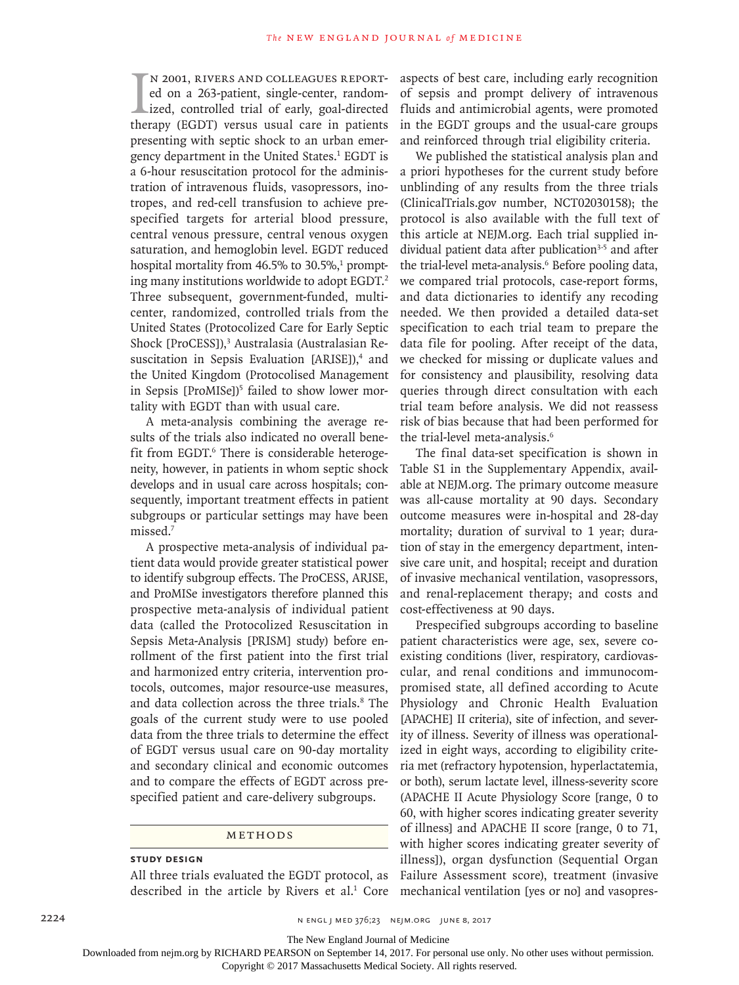$\prod_{\text{the}}$ n 2001, Rivers and colleagues reported on a 263-patient, single-center, randomized, controlled trial of early, goal-directed therapy (EGDT) versus usual care in patients presenting with septic shock to an urban emergency department in the United States.<sup>1</sup> EGDT is a 6-hour resuscitation protocol for the administration of intravenous fluids, vasopressors, inotropes, and red-cell transfusion to achieve prespecified targets for arterial blood pressure, central venous pressure, central venous oxygen saturation, and hemoglobin level. EGDT reduced hospital mortality from  $46.5\%$  to  $30.5\%$ <sup>1</sup> prompting many institutions worldwide to adopt EGDT.2 Three subsequent, government-funded, multicenter, randomized, controlled trials from the United States (Protocolized Care for Early Septic Shock [ProCESS]),<sup>3</sup> Australasia (Australasian Resuscitation in Sepsis Evaluation [ARISE]),<sup>4</sup> and the United Kingdom (Protocolised Management in Sepsis [ProMISe])<sup>5</sup> failed to show lower mortality with EGDT than with usual care.

A meta-analysis combining the average results of the trials also indicated no overall benefit from EGDT.<sup>6</sup> There is considerable heterogeneity, however, in patients in whom septic shock develops and in usual care across hospitals; consequently, important treatment effects in patient subgroups or particular settings may have been missed.7

A prospective meta-analysis of individual patient data would provide greater statistical power to identify subgroup effects. The ProCESS, ARISE, and ProMISe investigators therefore planned this prospective meta-analysis of individual patient data (called the Protocolized Resuscitation in Sepsis Meta-Analysis [PRISM] study) before enrollment of the first patient into the first trial and harmonized entry criteria, intervention protocols, outcomes, major resource-use measures, and data collection across the three trials.<sup>8</sup> The goals of the current study were to use pooled data from the three trials to determine the effect of EGDT versus usual care on 90-day mortality and secondary clinical and economic outcomes and to compare the effects of EGDT across prespecified patient and care-delivery subgroups.

### Methods

### **Study Design**

All three trials evaluated the EGDT protocol, as described in the article by Rivers et al.<sup>1</sup> Core mechanical ventilation [yes or no] and vasopres-

aspects of best care, including early recognition of sepsis and prompt delivery of intravenous fluids and antimicrobial agents, were promoted in the EGDT groups and the usual-care groups and reinforced through trial eligibility criteria.

We published the statistical analysis plan and a priori hypotheses for the current study before unblinding of any results from the three trials (ClinicalTrials.gov number, NCT02030158); the protocol is also available with the full text of this article at NEJM.org. Each trial supplied individual patient data after publication<sup>3-5</sup> and after the trial-level meta-analysis.<sup>6</sup> Before pooling data, we compared trial protocols, case-report forms, and data dictionaries to identify any recoding needed. We then provided a detailed data-set specification to each trial team to prepare the data file for pooling. After receipt of the data, we checked for missing or duplicate values and for consistency and plausibility, resolving data queries through direct consultation with each trial team before analysis. We did not reassess risk of bias because that had been performed for the trial-level meta-analysis.<sup>6</sup>

The final data-set specification is shown in Table S1 in the Supplementary Appendix, available at NEJM.org. The primary outcome measure was all-cause mortality at 90 days. Secondary outcome measures were in-hospital and 28-day mortality; duration of survival to 1 year; duration of stay in the emergency department, intensive care unit, and hospital; receipt and duration of invasive mechanical ventilation, vasopressors, and renal-replacement therapy; and costs and cost-effectiveness at 90 days.

Prespecified subgroups according to baseline patient characteristics were age, sex, severe coexisting conditions (liver, respiratory, cardiovascular, and renal conditions and immunocompromised state, all defined according to Acute Physiology and Chronic Health Evaluation [APACHE] II criteria), site of infection, and severity of illness. Severity of illness was operationalized in eight ways, according to eligibility criteria met (refractory hypotension, hyperlactatemia, or both), serum lactate level, illness-severity score (APACHE II Acute Physiology Score [range, 0 to 60, with higher scores indicating greater severity of illness] and APACHE II score [range, 0 to 71, with higher scores indicating greater severity of illness]), organ dysfunction (Sequential Organ Failure Assessment score), treatment (invasive

2224 **n engl j med 376;23** n engl j med 376;23 nejm.org JUNE 8, 2017

The New England Journal of Medicine

Downloaded from nejm.org by RICHARD PEARSON on September 14, 2017. For personal use only. No other uses without permission.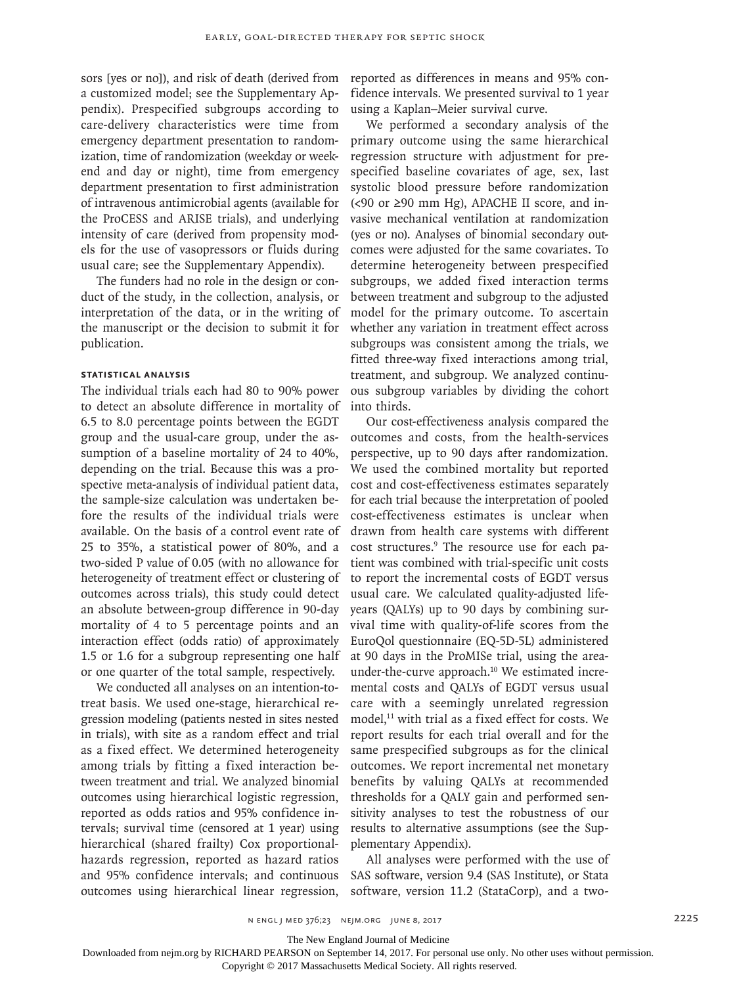sors [yes or no]), and risk of death (derived from a customized model; see the Supplementary Appendix). Prespecified subgroups according to care-delivery characteristics were time from emergency department presentation to randomization, time of randomization (weekday or weekend and day or night), time from emergency department presentation to first administration of intravenous antimicrobial agents (available for the ProCESS and ARISE trials), and underlying intensity of care (derived from propensity models for the use of vasopressors or fluids during usual care; see the Supplementary Appendix).

The funders had no role in the design or conduct of the study, in the collection, analysis, or interpretation of the data, or in the writing of the manuscript or the decision to submit it for publication.

### **Statistical Analysis**

The individual trials each had 80 to 90% power to detect an absolute difference in mortality of 6.5 to 8.0 percentage points between the EGDT group and the usual-care group, under the assumption of a baseline mortality of 24 to 40%, depending on the trial. Because this was a prospective meta-analysis of individual patient data, the sample-size calculation was undertaken before the results of the individual trials were available. On the basis of a control event rate of 25 to 35%, a statistical power of 80%, and a two-sided P value of 0.05 (with no allowance for heterogeneity of treatment effect or clustering of outcomes across trials), this study could detect an absolute between-group difference in 90-day mortality of 4 to 5 percentage points and an interaction effect (odds ratio) of approximately 1.5 or 1.6 for a subgroup representing one half or one quarter of the total sample, respectively.

We conducted all analyses on an intention-totreat basis. We used one-stage, hierarchical regression modeling (patients nested in sites nested in trials), with site as a random effect and trial as a fixed effect. We determined heterogeneity among trials by fitting a fixed interaction between treatment and trial. We analyzed binomial outcomes using hierarchical logistic regression, reported as odds ratios and 95% confidence intervals; survival time (censored at 1 year) using hierarchical (shared frailty) Cox proportionalhazards regression, reported as hazard ratios and 95% confidence intervals; and continuous outcomes using hierarchical linear regression, reported as differences in means and 95% confidence intervals. We presented survival to 1 year using a Kaplan–Meier survival curve.

We performed a secondary analysis of the primary outcome using the same hierarchical regression structure with adjustment for prespecified baseline covariates of age, sex, last systolic blood pressure before randomization  $\left($  <90 or  $\geq$ 90 mm Hg), APACHE II score, and invasive mechanical ventilation at randomization (yes or no). Analyses of binomial secondary outcomes were adjusted for the same covariates. To determine heterogeneity between prespecified subgroups, we added fixed interaction terms between treatment and subgroup to the adjusted model for the primary outcome. To ascertain whether any variation in treatment effect across subgroups was consistent among the trials, we fitted three-way fixed interactions among trial, treatment, and subgroup. We analyzed continuous subgroup variables by dividing the cohort into thirds.

Our cost-effectiveness analysis compared the outcomes and costs, from the health-services perspective, up to 90 days after randomization. We used the combined mortality but reported cost and cost-effectiveness estimates separately for each trial because the interpretation of pooled cost-effectiveness estimates is unclear when drawn from health care systems with different cost structures.<sup>9</sup> The resource use for each patient was combined with trial-specific unit costs to report the incremental costs of EGDT versus usual care. We calculated quality-adjusted lifeyears (QALYs) up to 90 days by combining survival time with quality-of-life scores from the EuroQol questionnaire (EQ-5D-5L) administered at 90 days in the ProMISe trial, using the areaunder-the-curve approach.<sup>10</sup> We estimated incremental costs and QALYs of EGDT versus usual care with a seemingly unrelated regression model,<sup>11</sup> with trial as a fixed effect for costs. We report results for each trial overall and for the same prespecified subgroups as for the clinical outcomes. We report incremental net monetary benefits by valuing QALYs at recommended thresholds for a QALY gain and performed sensitivity analyses to test the robustness of our results to alternative assumptions (see the Supplementary Appendix).

All analyses were performed with the use of SAS software, version 9.4 (SAS Institute), or Stata software, version 11.2 (StataCorp), and a two-

The New England Journal of Medicine

Downloaded from nejm.org by RICHARD PEARSON on September 14, 2017. For personal use only. No other uses without permission.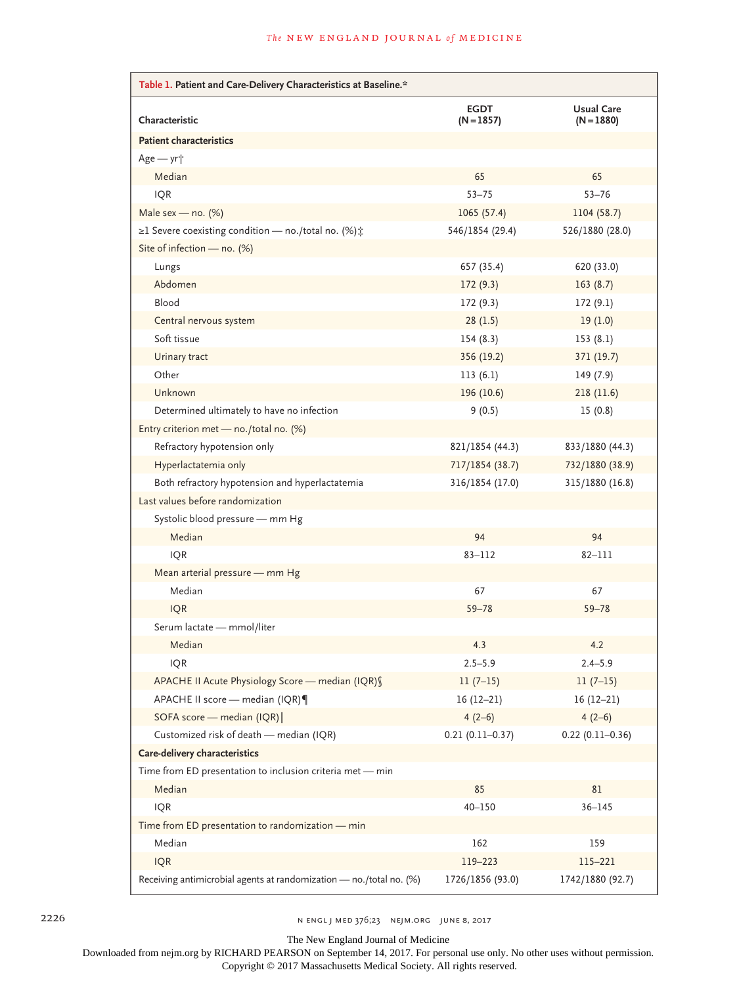| Table 1. Patient and Care-Delivery Characteristics at Baseline.*        |                             |                                   |  |  |  |  |  |  |  |  |
|-------------------------------------------------------------------------|-----------------------------|-----------------------------------|--|--|--|--|--|--|--|--|
| Characteristic                                                          | <b>EGDT</b><br>$(N = 1857)$ | <b>Usual Care</b><br>$(N = 1880)$ |  |  |  |  |  |  |  |  |
| <b>Patient characteristics</b>                                          |                             |                                   |  |  |  |  |  |  |  |  |
| Age - yr <sup>+</sup>                                                   |                             |                                   |  |  |  |  |  |  |  |  |
| Median                                                                  | 65                          | 65                                |  |  |  |  |  |  |  |  |
| <b>IQR</b>                                                              | $53 - 75$                   | $53 - 76$                         |  |  |  |  |  |  |  |  |
| Male sex - no. $(\%)$                                                   | 1065(57.4)                  | 1104 (58.7)                       |  |  |  |  |  |  |  |  |
| $\geq$ 1 Severe coexisting condition — no./total no. (%) $\updownarrow$ | 546/1854 (29.4)             | 526/1880 (28.0)                   |  |  |  |  |  |  |  |  |
| Site of infection - no. (%)                                             |                             |                                   |  |  |  |  |  |  |  |  |
| Lungs                                                                   | 657 (35.4)                  | 620 (33.0)                        |  |  |  |  |  |  |  |  |
| Abdomen                                                                 | 172(9.3)                    | 163(8.7)                          |  |  |  |  |  |  |  |  |
| Blood                                                                   | 172(9.3)                    | 172(9.1)                          |  |  |  |  |  |  |  |  |
| Central nervous system                                                  | 28(1.5)                     | 19(1.0)                           |  |  |  |  |  |  |  |  |
| Soft tissue                                                             | 154(8.3)                    | 153(8.1)                          |  |  |  |  |  |  |  |  |
| Urinary tract                                                           | 356 (19.2)                  | 371 (19.7)                        |  |  |  |  |  |  |  |  |
| Other                                                                   | 113(6.1)                    | 149(7.9)                          |  |  |  |  |  |  |  |  |
| Unknown                                                                 | 196 (10.6)                  | 218(11.6)                         |  |  |  |  |  |  |  |  |
| Determined ultimately to have no infection                              | 9(0.5)                      | 15(0.8)                           |  |  |  |  |  |  |  |  |
| Entry criterion met - no./total no. (%)                                 |                             |                                   |  |  |  |  |  |  |  |  |
| Refractory hypotension only                                             | 821/1854 (44.3)             | 833/1880 (44.3)                   |  |  |  |  |  |  |  |  |
| Hyperlactatemia only                                                    | 717/1854 (38.7)             | 732/1880 (38.9)                   |  |  |  |  |  |  |  |  |
| Both refractory hypotension and hyperlactatemia                         | 316/1854 (17.0)             | 315/1880 (16.8)                   |  |  |  |  |  |  |  |  |
| Last values before randomization                                        |                             |                                   |  |  |  |  |  |  |  |  |
| Systolic blood pressure - mm Hg                                         |                             |                                   |  |  |  |  |  |  |  |  |
| Median                                                                  | 94                          | 94                                |  |  |  |  |  |  |  |  |
| <b>IQR</b>                                                              | $83 - 112$                  | 82-111                            |  |  |  |  |  |  |  |  |
| Mean arterial pressure - mm Hg                                          |                             |                                   |  |  |  |  |  |  |  |  |
| Median                                                                  | 67                          | 67                                |  |  |  |  |  |  |  |  |
| <b>IQR</b>                                                              | $59 - 78$                   | $59 - 78$                         |  |  |  |  |  |  |  |  |
| Serum lactate - mmol/liter                                              |                             |                                   |  |  |  |  |  |  |  |  |
| Median                                                                  | 4.3                         | 4.2                               |  |  |  |  |  |  |  |  |
| <b>IQR</b>                                                              | $2.5 - 5.9$                 | $2.4 - 5.9$                       |  |  |  |  |  |  |  |  |
| APACHE II Acute Physiology Score - median (IQR) §                       | $11(7-15)$                  | $11(7-15)$                        |  |  |  |  |  |  |  |  |
| APACHE II score - median (IQR)                                          | $16(12-21)$                 | $16(12-21)$                       |  |  |  |  |  |  |  |  |
| SOFA score - median (IQR)                                               | $4(2-6)$                    | $4(2-6)$                          |  |  |  |  |  |  |  |  |
| Customized risk of death - median (IQR)                                 | $0.21(0.11 - 0.37)$         | $0.22$ (0.11-0.36)                |  |  |  |  |  |  |  |  |
| Care-delivery characteristics                                           |                             |                                   |  |  |  |  |  |  |  |  |
| Time from ED presentation to inclusion criteria met - min               |                             |                                   |  |  |  |  |  |  |  |  |
| Median                                                                  | 85                          | 81                                |  |  |  |  |  |  |  |  |
| IQR                                                                     | $40 - 150$                  | $36 - 145$                        |  |  |  |  |  |  |  |  |
| Time from ED presentation to randomization - min                        |                             |                                   |  |  |  |  |  |  |  |  |
| Median                                                                  | 162                         | 159                               |  |  |  |  |  |  |  |  |
| <b>IQR</b>                                                              | 119-223                     | 115-221                           |  |  |  |  |  |  |  |  |
| Receiving antimicrobial agents at randomization - no./total no. (%)     | 1726/1856 (93.0)            | 1742/1880 (92.7)                  |  |  |  |  |  |  |  |  |

2226 n engl j med 376;23 nejm.org June 8, 2017

The New England Journal of Medicine

Downloaded from nejm.org by RICHARD PEARSON on September 14, 2017. For personal use only. No other uses without permission.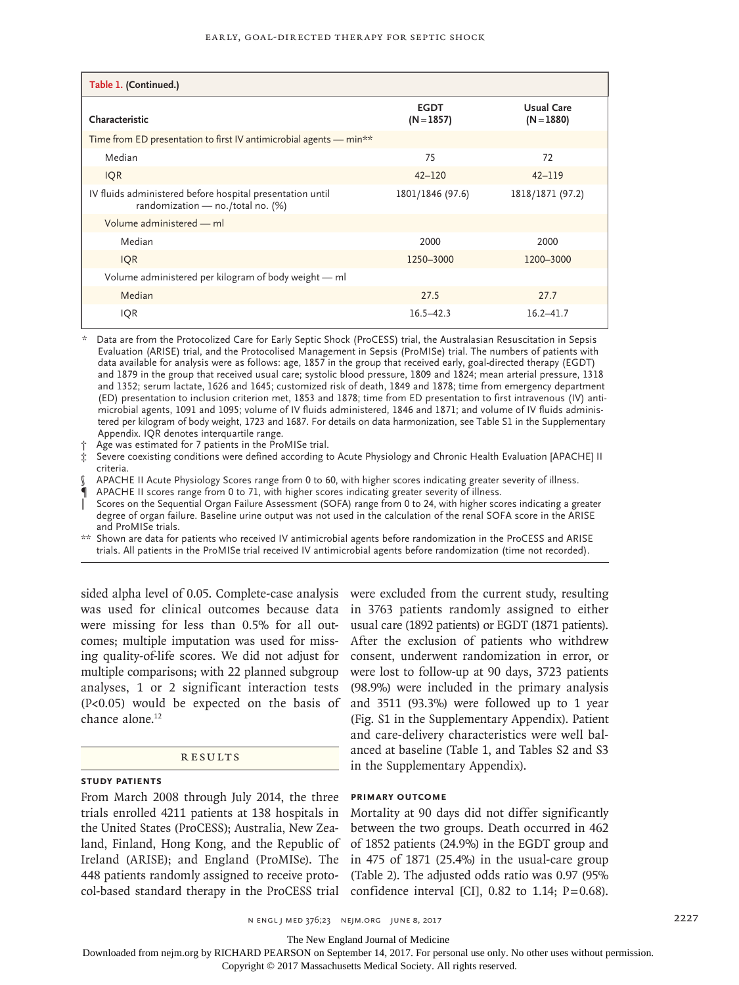### Early, Goal-Directed Therapy for Septic Shock

| Table 1. (Continued.)                                                                          |                             |                                   |  |  |  |  |  |  |  |  |
|------------------------------------------------------------------------------------------------|-----------------------------|-----------------------------------|--|--|--|--|--|--|--|--|
| Characteristic                                                                                 | <b>EGDT</b><br>$(N = 1857)$ | <b>Usual Care</b><br>$(N = 1880)$ |  |  |  |  |  |  |  |  |
| Time from ED presentation to first IV antimicrobial agents — min**                             |                             |                                   |  |  |  |  |  |  |  |  |
| Median                                                                                         | 75                          | 72                                |  |  |  |  |  |  |  |  |
| <b>IQR</b>                                                                                     | $42 - 120$                  | $42 - 119$                        |  |  |  |  |  |  |  |  |
| IV fluids administered before hospital presentation until<br>randomization - no./total no. (%) | 1801/1846 (97.6)            | 1818/1871 (97.2)                  |  |  |  |  |  |  |  |  |
| Volume administered - ml                                                                       |                             |                                   |  |  |  |  |  |  |  |  |
| Median                                                                                         | 2000                        | 2000                              |  |  |  |  |  |  |  |  |
| <b>IQR</b>                                                                                     | 1250-3000                   | 1200-3000                         |  |  |  |  |  |  |  |  |
| Volume administered per kilogram of body weight - ml                                           |                             |                                   |  |  |  |  |  |  |  |  |
| Median                                                                                         | 27.5                        | 27.7                              |  |  |  |  |  |  |  |  |
| IQR                                                                                            | $16.5 - 42.3$               | $16.2 - 41.7$                     |  |  |  |  |  |  |  |  |

Data are from the Protocolized Care for Early Septic Shock (ProCESS) trial, the Australasian Resuscitation in Sepsis Evaluation (ARISE) trial, and the Protocolised Management in Sepsis (ProMISe) trial. The numbers of patients with data available for analysis were as follows: age, 1857 in the group that received early, goal-directed therapy (EGDT) and 1879 in the group that received usual care; systolic blood pressure, 1809 and 1824; mean arterial pressure, 1318 and 1352; serum lactate, 1626 and 1645; customized risk of death, 1849 and 1878; time from emergency department (ED) presentation to inclusion criterion met, 1853 and 1878; time from ED presentation to first intravenous (IV) antimicrobial agents, 1091 and 1095; volume of IV fluids administered, 1846 and 1871; and volume of IV fluids administered per kilogram of body weight, 1723 and 1687. For details on data harmonization, see Table S1 in the Supplementary Appendix. IQR denotes interquartile range.

Age was estimated for 7 patients in the ProMISe trial.

‡ Severe coexisting conditions were defined according to Acute Physiology and Chronic Health Evaluation [APACHE] II criteria.

§ APACHE II Acute Physiology Scores range from 0 to 60, with higher scores indicating greater severity of illness.

APACHE II scores range from 0 to 71, with higher scores indicating greater severity of illness.

Scores on the Sequential Organ Failure Assessment (SOFA) range from 0 to 24, with higher scores indicating a greater degree of organ failure. Baseline urine output was not used in the calculation of the renal SOFA score in the ARISE and ProMISe trials.

Shown are data for patients who received IV antimicrobial agents before randomization in the ProCESS and ARISE trials. All patients in the ProMISe trial received IV antimicrobial agents before randomization (time not recorded).

sided alpha level of 0.05. Complete-case analysis were excluded from the current study, resulting was used for clinical outcomes because data in 3763 patients randomly assigned to either were missing for less than 0.5% for all outcomes; multiple imputation was used for missing quality-of-life scores. We did not adjust for multiple comparisons; with 22 planned subgroup analyses, 1 or 2 significant interaction tests (P<0.05) would be expected on the basis of chance alone.<sup>12</sup>

### Results

# **Study Patients**

From March 2008 through July 2014, the three trials enrolled 4211 patients at 138 hospitals in the United States (ProCESS); Australia, New Zealand, Finland, Hong Kong, and the Republic of Ireland (ARISE); and England (ProMISe). The 448 patients randomly assigned to receive protocol-based standard therapy in the ProCESS trial confidence interval [CI],  $0.82$  to 1.14;  $P=0.68$ ).

usual care (1892 patients) or EGDT (1871 patients). After the exclusion of patients who withdrew consent, underwent randomization in error, or were lost to follow-up at 90 days, 3723 patients (98.9%) were included in the primary analysis and 3511 (93.3%) were followed up to 1 year (Fig. S1 in the Supplementary Appendix). Patient and care-delivery characteristics were well balanced at baseline (Table 1, and Tables S2 and S3 in the Supplementary Appendix).

# **Primary Outcome**

Mortality at 90 days did not differ significantly between the two groups. Death occurred in 462 of 1852 patients (24.9%) in the EGDT group and in 475 of 1871 (25.4%) in the usual-care group (Table 2). The adjusted odds ratio was 0.97 (95%

n ENGL J MED 376;23 NEJM.ORG JUNE 8, 2017 2207

The New England Journal of Medicine

Downloaded from nejm.org by RICHARD PEARSON on September 14, 2017. For personal use only. No other uses without permission.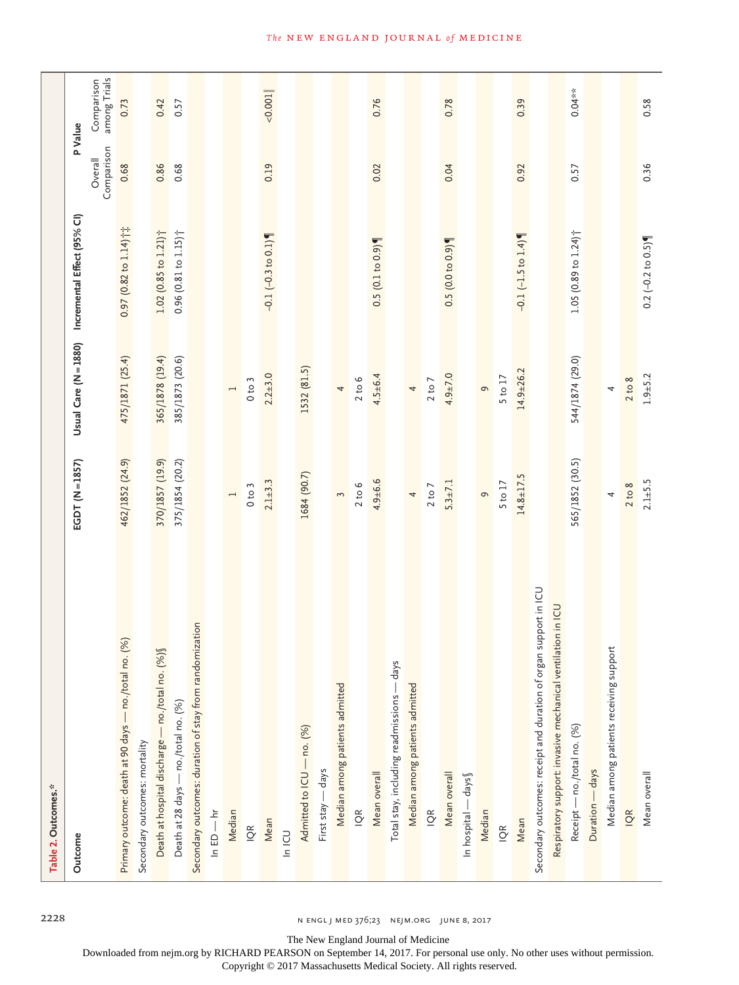| Table 2. Outcomes.*                                              |                 |                 |                                                   |                       |                            |
|------------------------------------------------------------------|-----------------|-----------------|---------------------------------------------------|-----------------------|----------------------------|
| Outcome                                                          | EGDT (N=1857)   |                 | Usual Care (N = 1880) Incremental Effect (95% CI) |                       | P Value                    |
|                                                                  |                 |                 |                                                   | Comparison<br>Overall | among Trials<br>Comparison |
| Primary outcome: death at 90 days - no./total no. (%)            | 462/1852 (24.9) | 475/1871 (25.4) | $0.97$ (0.82 to $1.14$ ) $\uparrow \updownarrow$  | 0.68                  | 0.73                       |
| Secondary outcomes: mortality                                    |                 |                 |                                                   |                       |                            |
| Death at hospital discharge — no./total no. (%) §                | 370/1857 (19.9) | 365/1878 (19.4) | $1.02$ (0.85 to $1.21$ ) <sup>+</sup>             | 0.86                  | 0.42                       |
| Death at 28 days — no./total no. (%)                             | 375/1854 (20.2) | 385/1873 (20.6) | $0.96$ (0.81 to $1.15$ ) <sup>+</sup>             | 0.68                  | 0.57                       |
| Secondary outcomes: duration of stay from randomization          |                 |                 |                                                   |                       |                            |
| $\ln ED - \ln$                                                   |                 |                 |                                                   |                       |                            |
| Median                                                           | $\overline{a}$  | $\overline{a}$  |                                                   |                       |                            |
| $\frac{R}{Q}$                                                    | 0 to 3          | 0 to 3          |                                                   |                       |                            |
| Mean                                                             | $2.1 + 3.3$     | $2.2 + 3.0$     | $-0.1$ $(-0.3$ to 0.1)                            | 0.19                  | < 0.001                    |
| <b>UDIN</b>                                                      |                 |                 |                                                   |                       |                            |
| Admitted to ICU - no. (%)                                        | 1684 (90.7)     | 1532 (81.5)     |                                                   |                       |                            |
| - days<br>First stay -                                           |                 |                 |                                                   |                       |                            |
| Median among patients admitted                                   | 3               | 4               |                                                   |                       |                            |
| $\widetilde{Q}$                                                  | 2 to 6          | 2 to 6          |                                                   |                       |                            |
| Mean overall                                                     | $4.9 + 6.6$     | $4.5 + 6.4$     | 0.5(0.1 to 0.9)                                   | 0.02                  | 0.76                       |
| Total stay, including readmissions - days                        |                 |                 |                                                   |                       |                            |
| Median among patients admitted                                   | $\overline{a}$  | 4               |                                                   |                       |                            |
| $\tilde{Q}$                                                      | 2 to 7          | 2 to 7          |                                                   |                       |                            |
| Mean overall                                                     | $5.3 \pm 7.1$   | $4.9 + 7.0$     | 0.5(0.0 to 0.9)                                   | 0.04                  | 0.78                       |
| In hospital - days                                               |                 |                 |                                                   |                       |                            |
| Median                                                           | $\sigma$        | $\sigma$        |                                                   |                       |                            |
| $\tilde{Q}$                                                      | 5 to 17         | 5 to 17         |                                                   |                       |                            |
| Mean                                                             | $14.8 + 17.5$   | $14.9 + 26.2$   | $-0.1$ (-1.5 to 1.4)                              | 0.92                  | 0.39                       |
| Secondary outcomes: receipt and duration of organ support in ICU |                 |                 |                                                   |                       |                            |
| Respiratory support: invasive mechanical ventilation in ICU      |                 |                 |                                                   |                       |                            |
| Receipt — no./total no. (%)                                      | 565/1852 (30.5) | 544/1874 (29.0) | 1.05 $(0.89 \text{ to } 1.24)$ <sup>+</sup>       | 0.57                  | $0.04***$                  |
| Duration - days                                                  |                 |                 |                                                   |                       |                            |
| Median among patients receiving support                          | 4               | 4               |                                                   |                       |                            |
| IQR                                                              | 2 to 8          | 2 to 8          |                                                   |                       |                            |
| Mean overall                                                     | $2.1 + 5.5$     | $1.9 + 5.2$     | $0.2$ (-0.2 to 0.5)                               | 0.36                  | 0.58                       |

2228 n engl j med 376;23 nejm.org June 8, 2017

The New England Journal of Medicine

Downloaded from nejm.org by RICHARD PEARSON on September 14, 2017. For personal use only. No other uses without permission.

Copyright © 2017 Massachusetts Medical Society. All rights reserved.

# **The NEW ENGLAND JOURNAL of MEDICINE**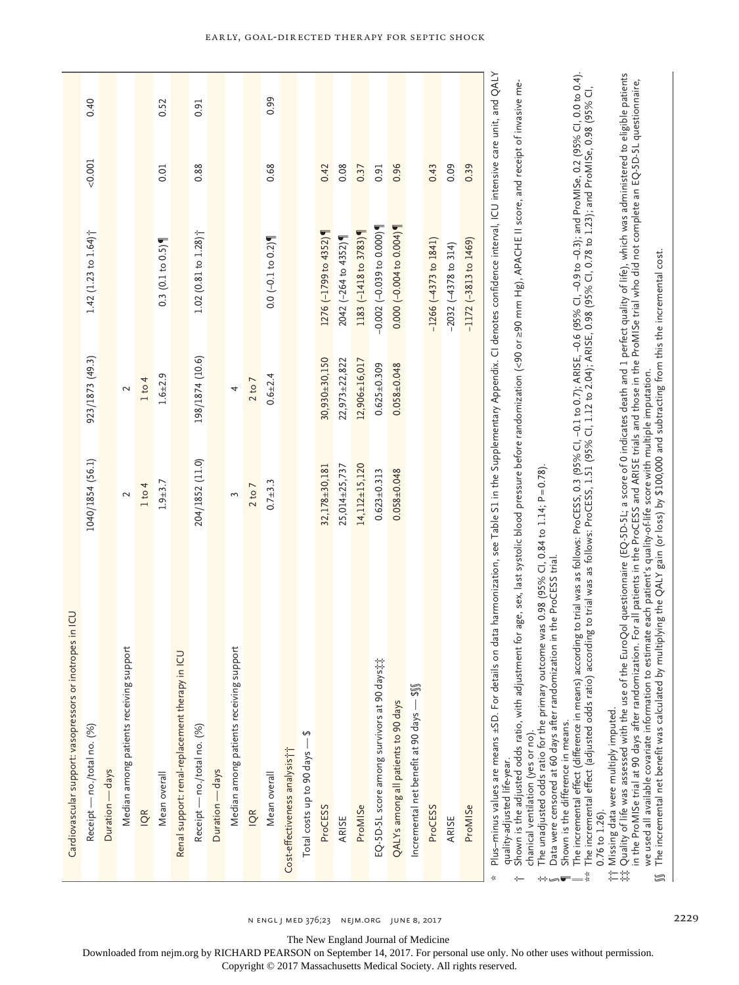|                                                          | 0.40                                  |                 |                                         |        | 0.52            |                                                 | 0.91                                  |                 |                                         |            | 0.99                |                                           |                                  |                      |                     |                       |                                              |                                     |                                         |                         |                          |                         |
|----------------------------------------------------------|---------------------------------------|-----------------|-----------------------------------------|--------|-----------------|-------------------------------------------------|---------------------------------------|-----------------|-----------------------------------------|------------|---------------------|-------------------------------------------|----------------------------------|----------------------|---------------------|-----------------------|----------------------------------------------|-------------------------------------|-----------------------------------------|-------------------------|--------------------------|-------------------------|
|                                                          | 0.001                                 |                 |                                         |        | 0.01            |                                                 | 0.88                                  |                 |                                         |            | 0.68                |                                           |                                  | 0.42                 | 0.08                | 0.37                  | 0.91                                         | 0.96                                |                                         | 0.43                    | 0.09                     | 0.39                    |
|                                                          | 1.42 $(1.23$ to $1.64$ ] <sup>*</sup> |                 |                                         |        | 0.3(0.1 to 0.5) |                                                 | $1.02$ (0.81 to $1.28$ ) <sup>†</sup> |                 |                                         |            | $0.0$ (-0.1 to 0.2) |                                           |                                  | 1276 (-1799 to 4352) | 2042 (-264 to 4352) | 1183 (-1418 to 3783)  | $-0.002 (-0.039 to 0.000)$                   | $0.000(-0.004 to 0.004)$            |                                         | $-1266 (-4373 to 1841)$ | $-2032$ $(-4378$ to 314) | $-1172$ (-3813 to 1469) |
|                                                          | 923/1873 (49.3)                       |                 | 2                                       | 1 to 4 | $1.6 + 2.9$     |                                                 | 198/1874 (10.6)                       |                 | 4                                       | 2 to 7     | $0.6 + 2.4$         |                                           |                                  | 30,930±30,150        | $22,973\pm 22,822$  | 12,906±16,017         | $0.625 \pm 0.309$                            | $0.058 + 0.048$                     |                                         |                         |                          |                         |
|                                                          | 1040/1854 (56.1)                      |                 | 2                                       | 1 to 4 | $1.9 + 3.7$     |                                                 | 204/1852 (11.0)                       |                 | 3                                       | 2 to 7     | $0.7 + 3.3$         |                                           |                                  | 32,178±30,181        | 25,014±25,737       | $14, 112 \pm 15, 120$ | $0.623 \pm 0.313$                            | $0.058 \pm 0.048$                   |                                         |                         |                          |                         |
| Cardiovascular support: vasopressors or inotropes in ICU | Receipt — no./total no. (%)           | Duration - days | Median among patients receiving support | ιě     | Mean overall    | Renal support: renal-replacement therapy in ICL | Receipt — no./total no. (%)           | Duration - days | Median among patients receiving support | <b>IQR</b> | Mean overall        | Cost-effectiveness analysis <sup>++</sup> | ↮<br>Total costs up to 90 days - | ProCESS              | ARISE               | ProMISe               | EQ-5D-5L score among survivors at 90 days;;; | QALYs among all patients to 90 days | Incremental net benefit at 90 days - \$ | ProCESS                 | ARISE                    | ProMISe                 |

chanical ventilation (yes or no).

 $\overline{1}$   $\overline{2}$ 

chanical ventilation (yes or no).<br>The unadjusted odds ratio for the primary outcome was 0.98 (95% CI, 0.84 to 1.14; P=0.78).<br>Data were censored at 60 days after randomization in the ProCESS trial.  $\ddot{x}$  . The unadjusted odds ratio for the primary outcome was 0.98 (95% CI, 0.84 to 1.14; P=0.78).

Data were censored at 60 days after randomization in the ProCESS trial.

Shown is the difference in means. Shown is the difference in means.

The incremental effect (difference in means) according to trial was as follows: ProCESS, 0.3 (95% CI, -0.1 to 0.7); ARISE, -0.6 (95% CI, -0.9 to -0.3); and ProMISe, 0.2 (95% CI, 0.0 to 0.4).<br>The incremental effect (adjuste The incremental effect (difference in means) according to trial was as follows: ProCESS, 0.3 (95% CI, −0.1 to 0.7); ARISE, −0.6 (95% CI, −0.9 to −0.3); and ProMISe, 0.2 (95% CI, 0.0 to 0.4). \*\* The incremental effect (adjusted odds ratio) according to trial was as follows: ProCESS, 1.51 (95% CI, 1.12 to 2.04); ARISE, 0.98 (95% CI, 0.78 to 1.23); and ProMISe, 0.98 (95% CI,  $0.76$  to  $1.26$ ). 0.76 to 1.26).  $\dots$ 

Missing data were multiply imputed. †† Missing data were multiply imputed.

Quality of life was assessed with the use of the EuroQol questionnaire (EQ-5D-5L; a score of 0 indicates death and 1 perfect quality of life), which was administered to eligible patients<br>in the ProMISe trial at 90 days aft  $\ddagger$ ä Quality of life was assessed with the use of the EuroQol questionnaire (EQ-5D-5L; a score of 0 indicates death and 1 perfect quality of life), which was administered to eligible patients in the ProMISe trial at 90 days after randomization. For all patients in the ProCESS and ARISE trials and those in the ProMISe trial who did not complete an EQ-5D-5L questionnaire, we used all available covariate information to estimate each patient's quality-of-life score with multiple imputation. 仁常

we used all available covariate information to estimate each patient's quality-of-life score with multiple imputation.<br>The incremental net benefit was calculated by multiplying the QALY gain (or loss) by \$100,000 and subt §§ The incremental net benefit was calculated by multiplying the QALY gain (or loss) by \$100,000 and subtracting from this the incremental cost.  $\textsf{S}$ 

The New England Journal of Medicine

Downloaded from nejm.org by RICHARD PEARSON on September 14, 2017. For personal use only. No other uses without permission.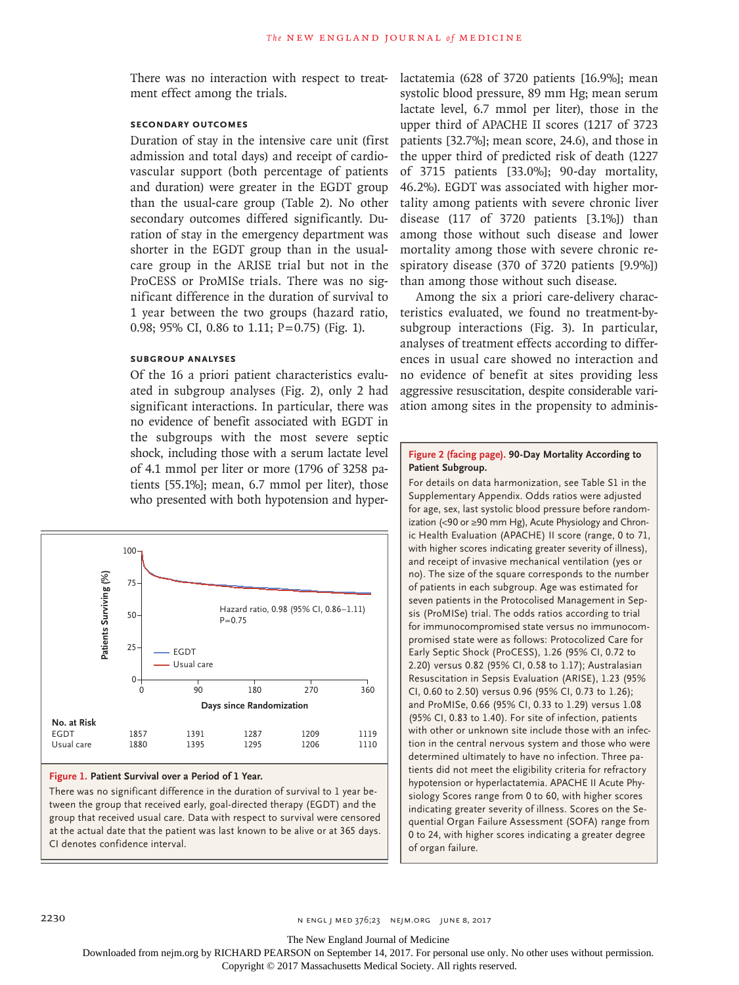There was no interaction with respect to treatment effect among the trials.

# **Secondary Outcomes**

Duration of stay in the intensive care unit (first admission and total days) and receipt of cardiovascular support (both percentage of patients and duration) were greater in the EGDT group than the usual-care group (Table 2). No other secondary outcomes differed significantly. Duration of stay in the emergency department was shorter in the EGDT group than in the usualcare group in the ARISE trial but not in the ProCESS or ProMISe trials. There was no significant difference in the duration of survival to 1 year between the two groups (hazard ratio, 0.98; 95% CI, 0.86 to 1.11;  $P=0.75$ ) (Fig. 1).

# **Subgroup Analyses**

Of the 16 a priori patient characteristics evaluated in subgroup analyses (Fig. 2), only 2 had significant interactions. In particular, there was no evidence of benefit associated with EGDT in the subgroups with the most severe septic shock, including those with a serum lactate level of 4.1 mmol per liter or more (1796 of 3258 patients [55.1%]; mean, 6.7 mmol per liter), those who presented with both hypotension and hyper-



### **Figure 1. Patient Survival over a Period of 1 Year.**

There was no significant difference in the duration of survival to 1 year between the group that received early, goal-directed therapy (EGDT) and the group that received usual care. Data with respect to survival were censored at the actual date that the patient was last known to be alive or at 365 days.

lactatemia (628 of 3720 patients [16.9%]; mean systolic blood pressure, 89 mm Hg; mean serum lactate level, 6.7 mmol per liter), those in the upper third of APACHE II scores (1217 of 3723 patients [32.7%]; mean score, 24.6), and those in the upper third of predicted risk of death (1227 of 3715 patients [33.0%]; 90-day mortality, 46.2%). EGDT was associated with higher mortality among patients with severe chronic liver disease (117 of 3720 patients [3.1%]) than among those without such disease and lower mortality among those with severe chronic respiratory disease (370 of 3720 patients [9.9%]) than among those without such disease.

Among the six a priori care-delivery characteristics evaluated, we found no treatment-bysubgroup interactions (Fig. 3). In particular, analyses of treatment effects according to differences in usual care showed no interaction and no evidence of benefit at sites providing less aggressive resuscitation, despite considerable variation among sites in the propensity to adminis-

### **Figure 2 (facing page). 90-Day Mortality According to Patient Subgroup.**

For details on data harmonization, see Table S1 in the Supplementary Appendix. Odds ratios were adjusted for age, sex, last systolic blood pressure before randomization (<90 or ≥90 mm Hg), Acute Physiology and Chronic Health Evaluation (APACHE) II score (range, 0 to 71, with higher scores indicating greater severity of illness), and receipt of invasive mechanical ventilation (yes or no). The size of the square corresponds to the number of patients in each subgroup. Age was estimated for seven patients in the Protocolised Management in Sepsis (ProMISe) trial. The odds ratios according to trial for immunocompromised state versus no immunocompromised state were as follows: Protocolized Care for Early Septic Shock (ProCESS), 1.26 (95% CI, 0.72 to 2.20) versus 0.82 (95% CI, 0.58 to 1.17); Australasian Resuscitation in Sepsis Evaluation (ARISE), 1.23 (95% CI, 0.60 to 2.50) versus 0.96 (95% CI, 0.73 to 1.26); and ProMISe, 0.66 (95% CI, 0.33 to 1.29) versus 1.08 (95% CI, 0.83 to 1.40). For site of infection, patients with other or unknown site include those with an infection in the central nervous system and those who were determined ultimately to have no infection. Three patients did not meet the eligibility criteria for refractory hypotension or hyperlactatemia. APACHE II Acute Physiology Scores range from 0 to 60, with higher scores indicating greater severity of illness. Scores on the Sequential Organ Failure Assessment (SOFA) range from 0 to 24, with higher scores indicating a greater degree of organ failure.

The New England Journal of Medicine

Downloaded from nejm.org by RICHARD PEARSON on September 14, 2017. For personal use only. No other uses without permission.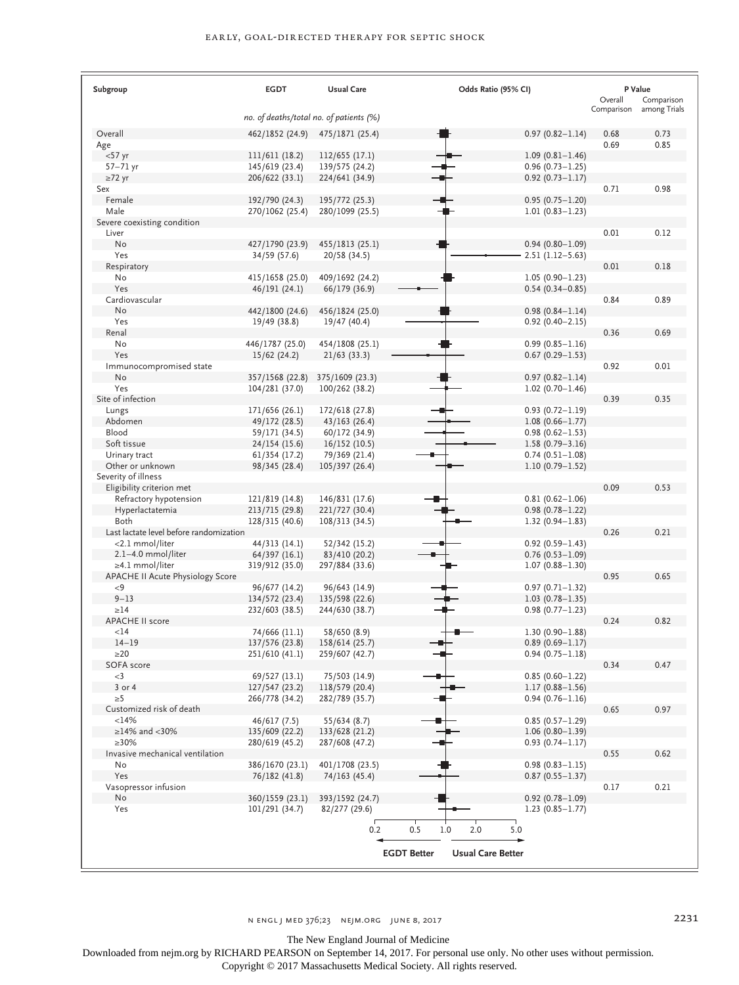| Subgroup                                            | <b>EGDT</b>                             | <b>Usual Care</b>                 | Odds Ratio (95% CI)                            |                                            | P Value<br>Overall | Comparison   |
|-----------------------------------------------------|-----------------------------------------|-----------------------------------|------------------------------------------------|--------------------------------------------|--------------------|--------------|
|                                                     | no. of deaths/total no. of patients (%) |                                   |                                                |                                            | Comparison         | among Trials |
| Overall                                             | 462/1852 (24.9)                         | 475/1871 (25.4)                   |                                                | $0.97(0.82 - 1.14)$                        | 0.68               | 0.73         |
| Age                                                 |                                         |                                   |                                                |                                            | 0.69               | 0.85         |
| $<$ 57 yr                                           | 111/611 (18.2)                          | 112/655 (17.1)                    |                                                | $1.09(0.81 - 1.46)$                        |                    |              |
| $57-71$ yr                                          | 145/619 (23.4)                          | 139/575 (24.2)                    |                                                | $0.96(0.73 - 1.25)$                        |                    |              |
| $\geq$ 72 yr                                        | 206/622 (33.1)                          | 224/641 (34.9)                    |                                                | $0.92$ (0.73-1.17)                         |                    |              |
| Sex                                                 |                                         |                                   |                                                |                                            | 0.71               | 0.98         |
| Female<br>Male                                      | 192/790 (24.3)                          | 195/772 (25.3)<br>280/1099 (25.5) |                                                | $0.95(0.75 - 1.20)$<br>$1.01(0.83 - 1.23)$ |                    |              |
| Severe coexisting condition                         | 270/1062 (25.4)                         |                                   |                                                |                                            |                    |              |
| Liver                                               |                                         |                                   |                                                |                                            | 0.01               | 0.12         |
| No                                                  | 427/1790 (23.9)                         | 455/1813 (25.1)                   |                                                | $0.94(0.80 - 1.09)$                        |                    |              |
| Yes                                                 | 34/59 (57.6)                            | 20/58 (34.5)                      |                                                | $2.51(1.12 - 5.63)$                        |                    |              |
| Respiratory                                         |                                         |                                   |                                                |                                            | 0.01               | 0.18         |
| No                                                  | 415/1658 (25.0)                         | 409/1692 (24.2)                   |                                                | $1.05(0.90 - 1.23)$                        |                    |              |
| Yes<br>Cardiovascular                               | 46/191 (24.1)                           | 66/179 (36.9)                     |                                                | $0.54(0.34 - 0.85)$                        | 0.84               | 0.89         |
| No                                                  | 442/1800 (24.6)                         | 456/1824 (25.0)                   |                                                | $0.98(0.84 - 1.14)$                        |                    |              |
| Yes                                                 | 19/49 (38.8)                            | 19/47 (40.4)                      |                                                | $0.92(0.40 - 2.15)$                        |                    |              |
| Renal                                               |                                         |                                   |                                                |                                            | 0.36               | 0.69         |
| No                                                  | 446/1787 (25.0)                         | 454/1808 (25.1)                   |                                                | $0.99(0.85 - 1.16)$                        |                    |              |
| Yes                                                 | 15/62 (24.2)                            | 21/63(33.3)                       |                                                | $0.67(0.29 - 1.53)$                        |                    |              |
| Immunocompromised state                             |                                         |                                   |                                                |                                            | 0.92               | 0.01         |
| No                                                  | 357/1568 (22.8)                         | 375/1609 (23.3)                   |                                                | $0.97(0.82 - 1.14)$                        |                    |              |
| Yes<br>Site of infection                            | 104/281 (37.0)                          | 100/262 (38.2)                    |                                                | $1.02(0.70 - 1.46)$                        | 0.39               | 0.35         |
| Lungs                                               | 171/656 (26.1)                          | 172/618 (27.8)                    |                                                | $0.93(0.72 - 1.19)$                        |                    |              |
| Abdomen                                             | 49/172 (28.5)                           | $43/163$ (26.4)                   |                                                | $1.08(0.66 - 1.77)$                        |                    |              |
| Blood                                               | 59/171 (34.5)                           | 60/172 (34.9)                     |                                                | $0.98(0.62 - 1.53)$                        |                    |              |
| Soft tissue                                         | 24/154 (15.6)                           | 16/152 (10.5)                     |                                                | $1.58(0.79 - 3.16)$                        |                    |              |
| Urinary tract                                       | 61/354 (17.2)                           | 79/369 (21.4)                     |                                                | $0.74(0.51 - 1.08)$                        |                    |              |
| Other or unknown                                    | 98/345 (28.4)                           | 105/397 (26.4)                    |                                                | $1.10(0.79 - 1.52)$                        |                    |              |
| Severity of illness                                 |                                         |                                   |                                                |                                            | 0.09               | 0.53         |
| Eligibility criterion met<br>Refractory hypotension | 121/819 (14.8)                          | 146/831 (17.6)                    |                                                | $0.81(0.62 - 1.06)$                        |                    |              |
| Hyperlactatemia                                     | 213/715 (29.8)                          | 221/727 (30.4)                    |                                                | $0.98(0.78 - 1.22)$                        |                    |              |
| Both                                                | 128/315 (40.6)                          | 108/313 (34.5)                    |                                                | $1.32(0.94 - 1.83)$                        |                    |              |
| Last lactate level before randomization             |                                         |                                   |                                                |                                            | 0.26               | 0.21         |
| <2.1 mmol/liter                                     | 44/313 (14.1)                           | 52/342 (15.2)                     |                                                | $0.92(0.59 - 1.43)$                        |                    |              |
| 2.1-4.0 mmol/liter                                  | 64/397 (16.1)                           | 83/410 (20.2)                     |                                                | $0.76(0.53 - 1.09)$                        |                    |              |
| ≥4.1 mmol/liter<br>APACHE II Acute Physiology Score | 319/912 (35.0)                          | 297/884 (33.6)                    |                                                | $1.07(0.88 - 1.30)$                        | 0.95               | 0.65         |
| < 9                                                 | 96/677 (14.2)                           | 96/643 (14.9)                     |                                                | $0.97(0.71 - 1.32)$                        |                    |              |
| $9 - 13$                                            | 134/572 (23.4)                          | 135/598 (22.6)                    |                                                | $1.03(0.78 - 1.35)$                        |                    |              |
| $\geq$ 14                                           | 232/603 (38.5)                          | 244/630 (38.7)                    |                                                | $0.98(0.77 - 1.23)$                        |                    |              |
| APACHE II score                                     |                                         |                                   |                                                |                                            | 0.24               | 0.82         |
| $<$ 14                                              | 74/666 (11.1)                           | 58/650 (8.9)                      |                                                | $1.30(0.90 - 1.88)$                        |                    |              |
| $14 - 19$                                           | 137/576 (23.8)                          | 158/614 (25.7)                    |                                                | $0.89(0.69 - 1.17)$                        |                    |              |
| $\geq$ 20                                           | 251/610 (41.1)                          | 259/607 (42.7)                    |                                                | $0.94(0.75 - 1.18)$                        |                    |              |
| SOFA score<br>$<$ 3                                 | 69/527 (13.1)                           | 75/503 (14.9)                     |                                                | $0.85(0.60 - 1.22)$                        | 0.34               | 0.47         |
| $3$ or $4$                                          | 127/547 (23.2)                          | 118/579 (20.4)                    |                                                | $1.17(0.88 - 1.56)$                        |                    |              |
| $\geq 5$                                            | 266/778 (34.2)                          | 282/789 (35.7)                    |                                                | $0.94(0.76 - 1.16)$                        |                    |              |
| Customized risk of death                            |                                         |                                   |                                                |                                            | 0.65               | 0.97         |
| <14%                                                | 46/617 (7.5)                            | 55/634 (8.7)                      |                                                | $0.85(0.57 - 1.29)$                        |                    |              |
| $\geq$ 14% and <30%                                 | 135/609 (22.2)                          | 133/628 (21.2)                    |                                                | $1.06(0.80 - 1.39)$                        |                    |              |
| $\geq 30\%$                                         | 280/619 (45.2)                          | 287/608 (47.2)                    |                                                | $0.93(0.74 - 1.17)$                        |                    |              |
| Invasive mechanical ventilation                     |                                         |                                   |                                                |                                            | 0.55               | 0.62         |
| No<br>Yes                                           | 386/1670 (23.1)<br>76/182 (41.8)        | 401/1708 (23.5)<br>74/163 (45.4)  |                                                | $0.98(0.83 - 1.15)$<br>$0.87(0.55 - 1.37)$ |                    |              |
| Vasopressor infusion                                |                                         |                                   |                                                |                                            | 0.17               | 0.21         |
| No                                                  | 360/1559 (23.1)                         | 393/1592 (24.7)                   |                                                | $0.92(0.78 - 1.09)$                        |                    |              |
| Yes                                                 | 101/291 (34.7)                          | 82/277 (29.6)                     |                                                | $1.23(0.85 - 1.77)$                        |                    |              |
|                                                     |                                         | 0.2                               | 0.5<br>5.0<br>1.0                              |                                            |                    |              |
|                                                     |                                         |                                   | 2.0                                            |                                            |                    |              |
|                                                     |                                         |                                   | <b>Usual Care Better</b><br><b>EGDT Better</b> |                                            |                    |              |

n engl j med 376;23 nejm.org June 8, 2017 2231

The New England Journal of Medicine

Downloaded from nejm.org by RICHARD PEARSON on September 14, 2017. For personal use only. No other uses without permission.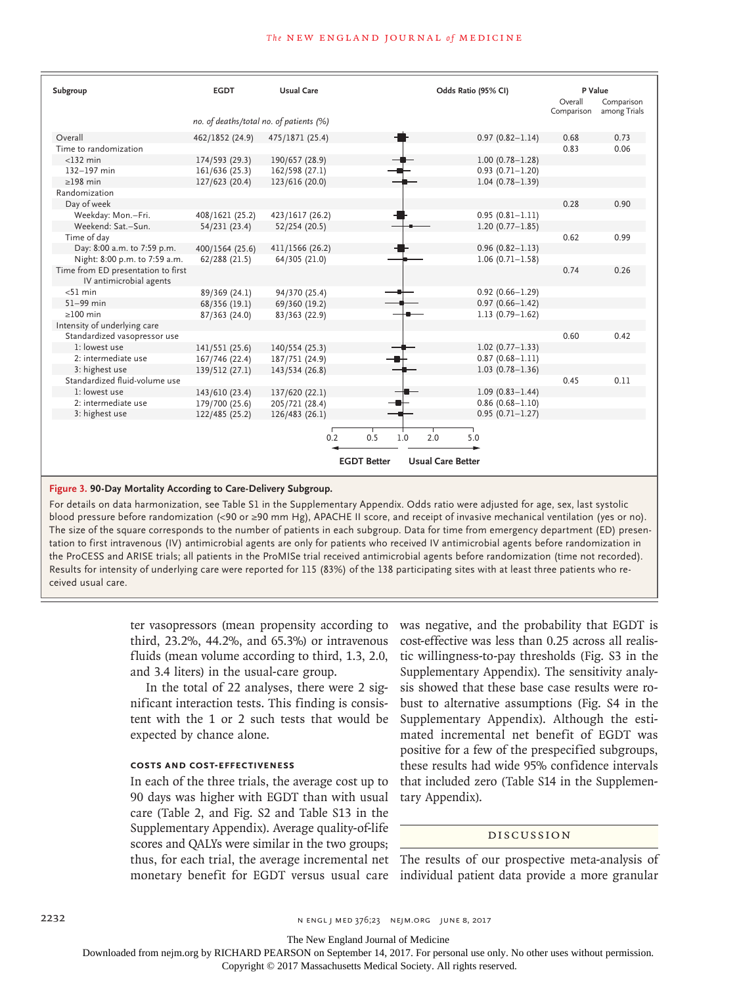### **The NEW ENGLAND JOURNAL of MEDICINE**

| Subgroup                                                      | <b>EGDT</b>                             | <b>Usual Care</b> |                    | Odds Ratio (95% CI)      | P Value<br>Overall | Comparison   |
|---------------------------------------------------------------|-----------------------------------------|-------------------|--------------------|--------------------------|--------------------|--------------|
|                                                               |                                         |                   |                    |                          | Comparison         | among Trials |
|                                                               | no. of deaths/total no. of patients (%) |                   |                    |                          |                    |              |
| Overall                                                       | 462/1852 (24.9)                         | 475/1871 (25.4)   |                    | $0.97(0.82 - 1.14)$      | 0.68               | 0.73         |
| Time to randomization                                         |                                         |                   |                    |                          | 0.83               | 0.06         |
| $<$ 132 min                                                   | 174/593 (29.3)                          | 190/657 (28.9)    |                    | $1.00(0.78 - 1.28)$      |                    |              |
| 132-197 min                                                   | 161/636 (25.3)                          | 162/598 (27.1)    |                    | $0.93(0.71 - 1.20)$      |                    |              |
| $>198$ min                                                    | 127/623 (20.4)                          | 123/616 (20.0)    |                    | $1.04(0.78 - 1.39)$      |                    |              |
| Randomization                                                 |                                         |                   |                    |                          |                    |              |
| Day of week                                                   |                                         |                   |                    |                          | 0.28               | 0.90         |
| Weekday: Mon.-Fri.                                            | 408/1621 (25.2)                         | 423/1617 (26.2)   |                    | $0.95(0.81 - 1.11)$      |                    |              |
| Weekend: Sat.-Sun.                                            | 54/231 (23.4)                           | 52/254 (20.5)     |                    | $1.20(0.77 - 1.85)$      |                    |              |
| Time of day                                                   |                                         |                   |                    |                          | 0.62               | 0.99         |
| Day: 8:00 a.m. to 7:59 p.m.                                   | 400/1564 (25.6)                         | 411/1566 (26.2)   |                    | $0.96(0.82 - 1.13)$      |                    |              |
| Night: 8:00 p.m. to 7:59 a.m.                                 | 62/288 (21.5)                           | 64/305 (21.0)     |                    | $1.06(0.71 - 1.58)$      |                    |              |
| Time from ED presentation to first<br>IV antimicrobial agents |                                         |                   |                    |                          | 0.74               | 0.26         |
| $<$ 51 min                                                    | 89/369 (24.1)                           | 94/370 (25.4)     |                    | $0.92(0.66 - 1.29)$      |                    |              |
| $51-99$ min                                                   | 68/356 (19.1)                           | 69/360 (19.2)     |                    | $0.97(0.66 - 1.42)$      |                    |              |
| $\geq$ 100 min                                                | 87/363 (24.0)                           | 83/363 (22.9)     |                    | $1.13(0.79 - 1.62)$      |                    |              |
| Intensity of underlying care                                  |                                         |                   |                    |                          |                    |              |
| Standardized vasopressor use                                  |                                         |                   |                    |                          | 0.60               | 0.42         |
| 1: lowest use                                                 | 141/551 (25.6)                          | 140/554 (25.3)    |                    | $1.02(0.77 - 1.33)$      |                    |              |
| 2: intermediate use                                           | 167/746 (22.4)                          | 187/751 (24.9)    |                    | $0.87(0.68 - 1.11)$      |                    |              |
| 3: highest use                                                | 139/512 (27.1)                          | 143/534 (26.8)    |                    | $1.03(0.78 - 1.36)$      |                    |              |
| Standardized fluid-volume use                                 |                                         |                   |                    |                          | 0.45               | 0.11         |
| 1: lowest use                                                 | 143/610 (23.4)                          | 137/620 (22.1)    |                    | $1.09(0.83 - 1.44)$      |                    |              |
| 2: intermediate use                                           | 179/700 (25.6)                          | 205/721 (28.4)    |                    | $0.86(0.68 - 1.10)$      |                    |              |
| 3: highest use                                                | 122/485 (25.2)                          | 126/483 (26.1)    |                    | $0.95(0.71 - 1.27)$      |                    |              |
|                                                               |                                         |                   |                    |                          |                    |              |
|                                                               |                                         | 0.2               | 0.5<br>1.0         | 2.0<br>5.0               |                    |              |
|                                                               |                                         |                   | <b>EGDT Better</b> | <b>Usual Care Better</b> |                    |              |
|                                                               |                                         |                   |                    |                          |                    |              |

# **Figure 3. 90-Day Mortality According to Care-Delivery Subgroup.**

For details on data harmonization, see Table S1 in the Supplementary Appendix. Odds ratio were adjusted for age, sex, last systolic blood pressure before randomization (<90 or ≥90 mm Hg), APACHE II score, and receipt of invasive mechanical ventilation (yes or no). The size of the square corresponds to the number of patients in each subgroup. Data for time from emergency department (ED) presentation to first intravenous (IV) antimicrobial agents are only for patients who received IV antimicrobial agents before randomization in the ProCESS and ARISE trials; all patients in the ProMISe trial received antimicrobial agents before randomization (time not recorded). Results for intensity of underlying care were reported for 115 (83%) of the 138 participating sites with at least three patients who received usual care.

> ter vasopressors (mean propensity according to third, 23.2%, 44.2%, and 65.3%) or intravenous fluids (mean volume according to third, 1.3, 2.0, and 3.4 liters) in the usual-care group.

> In the total of 22 analyses, there were 2 significant interaction tests. This finding is consistent with the 1 or 2 such tests that would be expected by chance alone.

# **Costs and Cost-Effectiveness**

In each of the three trials, the average cost up to 90 days was higher with EGDT than with usual care (Table 2, and Fig. S2 and Table S13 in the Supplementary Appendix). Average quality-of-life scores and QALYs were similar in the two groups; thus, for each trial, the average incremental net The results of our prospective meta-analysis of monetary benefit for EGDT versus usual care individual patient data provide a more granular

was negative, and the probability that EGDT is cost-effective was less than 0.25 across all realistic willingness-to-pay thresholds (Fig. S3 in the Supplementary Appendix). The sensitivity analysis showed that these base case results were robust to alternative assumptions (Fig. S4 in the Supplementary Appendix). Although the estimated incremental net benefit of EGDT was positive for a few of the prespecified subgroups, these results had wide 95% confidence intervals that included zero (Table S14 in the Supplementary Appendix).

# Discussion

2232 **n ENGL J MED 376;23** NEM.ORG JUNE 8, 2017

The New England Journal of Medicine

Downloaded from nejm.org by RICHARD PEARSON on September 14, 2017. For personal use only. No other uses without permission.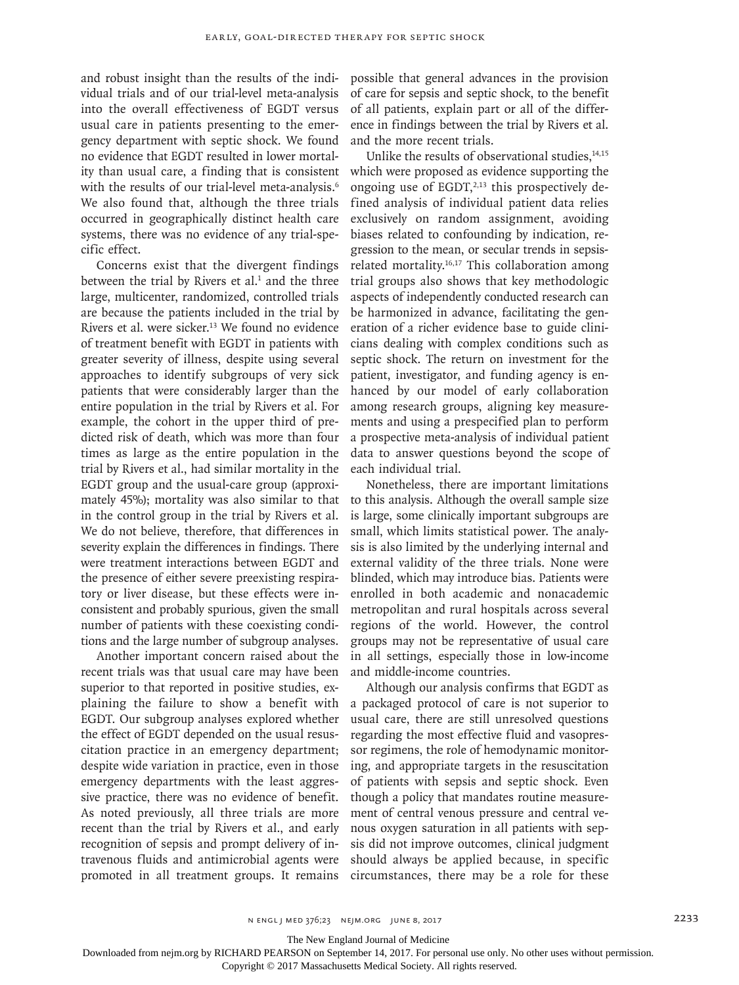and robust insight than the results of the individual trials and of our trial-level meta-analysis into the overall effectiveness of EGDT versus usual care in patients presenting to the emergency department with septic shock. We found no evidence that EGDT resulted in lower mortality than usual care, a finding that is consistent with the results of our trial-level meta-analysis.<sup>6</sup> We also found that, although the three trials occurred in geographically distinct health care systems, there was no evidence of any trial-specific effect.

Concerns exist that the divergent findings between the trial by Rivers et al. $<sup>1</sup>$  and the three</sup> large, multicenter, randomized, controlled trials are because the patients included in the trial by Rivers et al. were sicker.<sup>13</sup> We found no evidence of treatment benefit with EGDT in patients with greater severity of illness, despite using several approaches to identify subgroups of very sick patients that were considerably larger than the entire population in the trial by Rivers et al. For example, the cohort in the upper third of predicted risk of death, which was more than four times as large as the entire population in the trial by Rivers et al., had similar mortality in the EGDT group and the usual-care group (approximately 45%); mortality was also similar to that in the control group in the trial by Rivers et al. We do not believe, therefore, that differences in severity explain the differences in findings. There were treatment interactions between EGDT and the presence of either severe preexisting respiratory or liver disease, but these effects were inconsistent and probably spurious, given the small number of patients with these coexisting conditions and the large number of subgroup analyses.

Another important concern raised about the recent trials was that usual care may have been superior to that reported in positive studies, explaining the failure to show a benefit with EGDT. Our subgroup analyses explored whether the effect of EGDT depended on the usual resuscitation practice in an emergency department; despite wide variation in practice, even in those emergency departments with the least aggressive practice, there was no evidence of benefit. As noted previously, all three trials are more recent than the trial by Rivers et al., and early recognition of sepsis and prompt delivery of intravenous fluids and antimicrobial agents were promoted in all treatment groups. It remains possible that general advances in the provision of care for sepsis and septic shock, to the benefit of all patients, explain part or all of the difference in findings between the trial by Rivers et al. and the more recent trials.

Unlike the results of observational studies, $14,15$ which were proposed as evidence supporting the ongoing use of  $EGDT,^{2,13}$  this prospectively defined analysis of individual patient data relies exclusively on random assignment, avoiding biases related to confounding by indication, regression to the mean, or secular trends in sepsisrelated mortality.16,17 This collaboration among trial groups also shows that key methodologic aspects of independently conducted research can be harmonized in advance, facilitating the generation of a richer evidence base to guide clinicians dealing with complex conditions such as septic shock. The return on investment for the patient, investigator, and funding agency is enhanced by our model of early collaboration among research groups, aligning key measurements and using a prespecified plan to perform a prospective meta-analysis of individual patient data to answer questions beyond the scope of each individual trial.

Nonetheless, there are important limitations to this analysis. Although the overall sample size is large, some clinically important subgroups are small, which limits statistical power. The analysis is also limited by the underlying internal and external validity of the three trials. None were blinded, which may introduce bias. Patients were enrolled in both academic and nonacademic metropolitan and rural hospitals across several regions of the world. However, the control groups may not be representative of usual care in all settings, especially those in low-income and middle-income countries.

Although our analysis confirms that EGDT as a packaged protocol of care is not superior to usual care, there are still unresolved questions regarding the most effective fluid and vasopressor regimens, the role of hemodynamic monitoring, and appropriate targets in the resuscitation of patients with sepsis and septic shock. Even though a policy that mandates routine measurement of central venous pressure and central venous oxygen saturation in all patients with sepsis did not improve outcomes, clinical judgment should always be applied because, in specific circumstances, there may be a role for these

The New England Journal of Medicine

Downloaded from nejm.org by RICHARD PEARSON on September 14, 2017. For personal use only. No other uses without permission.